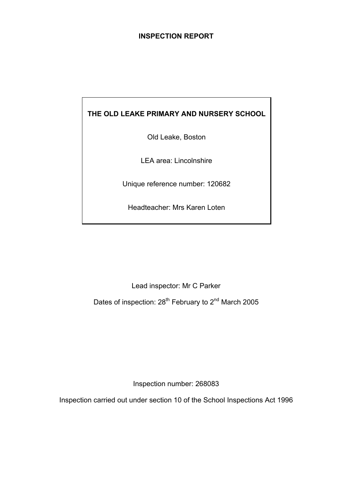## **INSPECTION REPORT**

# **THE OLD LEAKE PRIMARY AND NURSERY SCHOOL**

Old Leake, Boston

LEA area: Lincolnshire

Unique reference number: 120682

Headteacher: Mrs Karen Loten

Lead inspector: Mr C Parker

Dates of inspection: 28<sup>th</sup> February to 2<sup>nd</sup> March 2005

Inspection number: 268083

Inspection carried out under section 10 of the School Inspections Act 1996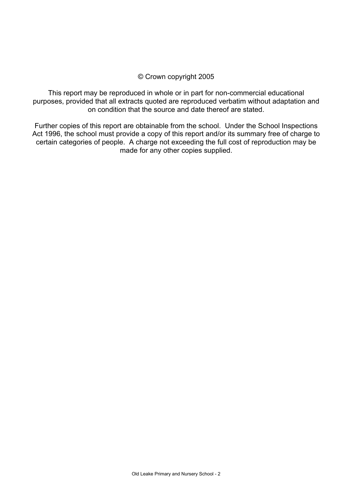## © Crown copyright 2005

This report may be reproduced in whole or in part for non-commercial educational purposes, provided that all extracts quoted are reproduced verbatim without adaptation and on condition that the source and date thereof are stated.

Further copies of this report are obtainable from the school. Under the School Inspections Act 1996, the school must provide a copy of this report and/or its summary free of charge to certain categories of people. A charge not exceeding the full cost of reproduction may be made for any other copies supplied.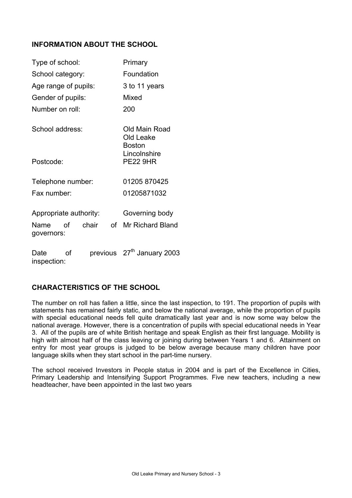## **INFORMATION ABOUT THE SCHOOL**

| Type of school:                         | Primary                                     |
|-----------------------------------------|---------------------------------------------|
| School category:                        | Foundation                                  |
| Age range of pupils:                    | 3 to 11 years                               |
| Gender of pupils:                       | Mixed                                       |
| Number on roll:                         | 200                                         |
| School address:                         | Old Main Road<br>Old Leake<br><b>Boston</b> |
| Postcode:                               | Lincolnshire<br><b>PE22 9HR</b>             |
| Telephone number:                       | 01205 870425                                |
| Fax number:                             | 01205871032                                 |
| Appropriate authority:                  | Governing body                              |
| chair<br>of<br>Name<br>of<br>governors: | <b>Mr Richard Bland</b>                     |
| Date<br>Ωf<br>inspection:               | previous 27 <sup>th</sup> January 2003      |

## **CHARACTERISTICS OF THE SCHOOL**

The number on roll has fallen a little, since the last inspection, to 191. The proportion of pupils with statements has remained fairly static, and below the national average, while the proportion of pupils with special educational needs fell quite dramatically last year and is now some way below the national average. However, there is a concentration of pupils with special educational needs in Year 3. All of the pupils are of white British heritage and speak English as their first language. Mobility is high with almost half of the class leaving or joining during between Years 1 and 6. Attainment on entry for most year groups is judged to be below average because many children have poor language skills when they start school in the part-time nursery.

The school received Investors in People status in 2004 and is part of the Excellence in Cities, Primary Leadership and Intensifying Support Programmes. Five new teachers, including a new headteacher, have been appointed in the last two years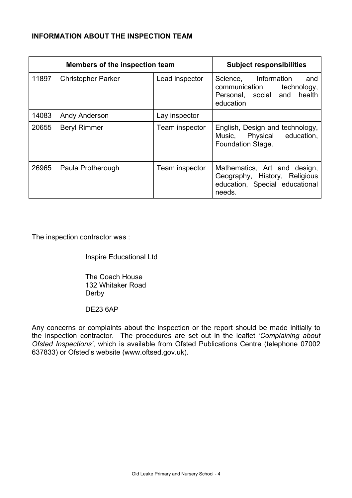## **INFORMATION ABOUT THE INSPECTION TEAM**

| Members of the inspection team |                           |                | <b>Subject responsibilities</b>                                                                            |
|--------------------------------|---------------------------|----------------|------------------------------------------------------------------------------------------------------------|
| 11897                          | <b>Christopher Parker</b> | Lead inspector | Information<br>Science,<br>and<br>communication<br>technology,<br>Personal, social and health<br>education |
| 14083                          | Andy Anderson             | Lay inspector  |                                                                                                            |
| 20655                          | <b>Beryl Rimmer</b>       | Team inspector | English, Design and technology,<br>Music, Physical education,<br><b>Foundation Stage.</b>                  |
| 26965                          | Paula Protherough         | Team inspector | Mathematics, Art and design,<br>Geography, History, Religious<br>education, Special educational<br>needs.  |

The inspection contractor was :

Inspire Educational Ltd

 The Coach House 132 Whitaker Road Derby

DE23 6AP

Any concerns or complaints about the inspection or the report should be made initially to the inspection contractor. The procedures are set out in the leaflet *'Complaining about Ofsted Inspections'*, which is available from Ofsted Publications Centre (telephone 07002 637833) or Ofsted's website (www.oftsed.gov.uk).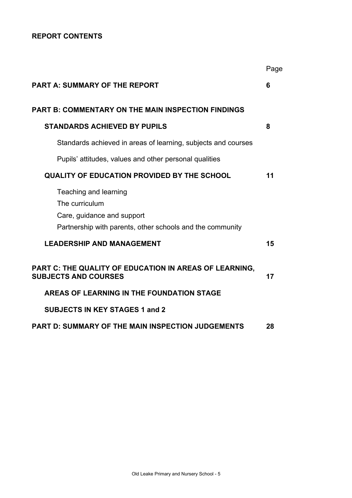## **REPORT CONTENTS**

|                                                                                                                                    | Page |
|------------------------------------------------------------------------------------------------------------------------------------|------|
| <b>PART A: SUMMARY OF THE REPORT</b>                                                                                               | 6    |
| <b>PART B: COMMENTARY ON THE MAIN INSPECTION FINDINGS</b>                                                                          |      |
| <b>STANDARDS ACHIEVED BY PUPILS</b>                                                                                                | 8    |
| Standards achieved in areas of learning, subjects and courses                                                                      |      |
| Pupils' attitudes, values and other personal qualities                                                                             |      |
| <b>QUALITY OF EDUCATION PROVIDED BY THE SCHOOL</b>                                                                                 | 11   |
| Teaching and learning<br>The curriculum<br>Care, guidance and support<br>Partnership with parents, other schools and the community |      |
| <b>LEADERSHIP AND MANAGEMENT</b>                                                                                                   | 15   |
| PART C: THE QUALITY OF EDUCATION IN AREAS OF LEARNING,<br><b>SUBJECTS AND COURSES</b>                                              | 17   |
| AREAS OF LEARNING IN THE FOUNDATION STAGE                                                                                          |      |
| <b>SUBJECTS IN KEY STAGES 1 and 2</b>                                                                                              |      |
| <b>PART D: SUMMARY OF THE MAIN INSPECTION JUDGEMENTS</b>                                                                           | 28   |
|                                                                                                                                    |      |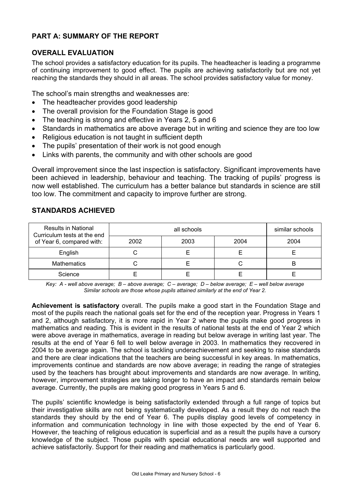## **PART A: SUMMARY OF THE REPORT**

## **OVERALL EVALUATION**

The school provides a satisfactory education for its pupils. The headteacher is leading a programme of continuing improvement to good effect. The pupils are achieving satisfactorily but are not yet reaching the standards they should in all areas. The school provides satisfactory value for money.

The school's main strengths and weaknesses are:

- The headteacher provides good leadership
- The overall provision for the Foundation Stage is good
- The teaching is strong and effective in Years 2, 5 and 6
- Standards in mathematics are above average but in writing and science they are too low
- Religious education is not taught in sufficient depth
- The pupils' presentation of their work is not good enough
- Links with parents, the community and with other schools are good

Overall improvement since the last inspection is satisfactory. Significant improvements have been achieved in leadership, behaviour and teaching. The tracking of pupils' progress is now well established. The curriculum has a better balance but standards in science are still too low. The commitment and capacity to improve further are strong.

| <b>Results in National</b><br>Curriculum tests at the end<br>of Year 6, compared with: |      | similar schools |      |      |
|----------------------------------------------------------------------------------------|------|-----------------|------|------|
|                                                                                        | 2002 | 2003            | 2004 | 2004 |
| English                                                                                |      |                 |      |      |
| <b>Mathematics</b>                                                                     |      |                 | ι.   | B    |
| Science                                                                                |      |                 |      |      |

## **STANDARDS ACHIEVED**

*Key: A - well above average; B – above average; C – average; D – below average; E – well below average Similar schools are those whose pupils attained similarly at the end of Year 2.* 

**Achievement is satisfactory** overall. The pupils make a good start in the Foundation Stage and most of the pupils reach the national goals set for the end of the reception year. Progress in Years 1 and 2, although satisfactory, it is more rapid in Year 2 where the pupils make good progress in mathematics and reading. This is evident in the results of national tests at the end of Year 2 which were above average in mathematics, average in reading but below average in writing last year. The results at the end of Year 6 fell to well below average in 2003. In mathematics they recovered in 2004 to be average again. The school is tackling underachievement and seeking to raise standards and there are clear indications that the teachers are being successful in key areas. In mathematics, improvements continue and standards are now above average; in reading the range of strategies used by the teachers has brought about improvements and standards are now average. In writing, however, improvement strategies are taking longer to have an impact and standards remain below average. Currently, the pupils are making good progress in Years 5 and 6.

The pupils' scientific knowledge is being satisfactorily extended through a full range of topics but their investigative skills are not being systematically developed. As a result they do not reach the standards they should by the end of Year 6. The pupils display good levels of competency in information and communication technology in line with those expected by the end of Year 6. However, the teaching of religious education is superficial and as a result the pupils have a cursory knowledge of the subject. Those pupils with special educational needs are well supported and achieve satisfactorily. Support for their reading and mathematics is particularly good.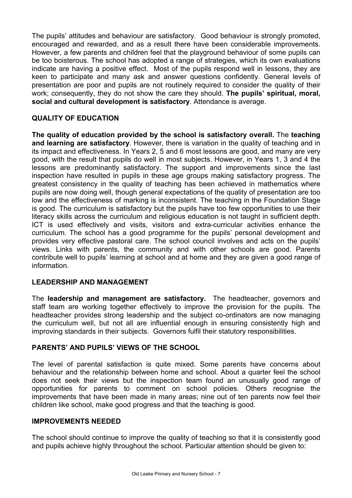The pupils' attitudes and behaviour are satisfactory. Good behaviour is strongly promoted, encouraged and rewarded, and as a result there have been considerable improvements. However, a few parents and children feel that the playground behaviour of some pupils can be too boisterous. The school has adopted a range of strategies, which its own evaluations indicate are having a positive effect. Most of the pupils respond well in lessons, they are keen to participate and many ask and answer questions confidently. General levels of presentation are poor and pupils are not routinely required to consider the quality of their work; consequently, they do not show the care they should. **The pupils' spiritual, moral, social and cultural development is satisfactory**. Attendance is average.

## **QUALITY OF EDUCATION**

**The quality of education provided by the school is satisfactory overall.** The **teaching and learning are satisfactory**. However, there is variation in the quality of teaching and in its impact and effectiveness. In Years 2, 5 and 6 most lessons are good, and many are very good, with the result that pupils do well in most subjects. However, in Years 1, 3 and 4 the lessons are predominantly satisfactory. The support and improvements since the last inspection have resulted in pupils in these age groups making satisfactory progress. The greatest consistency in the quality of teaching has been achieved in mathematics where pupils are now doing well, though general expectations of the quality of presentation are too low and the effectiveness of marking is inconsistent. The teaching in the Foundation Stage is good. The curriculum is satisfactory but the pupils have too few opportunities to use their literacy skills across the curriculum and religious education is not taught in sufficient depth. ICT is used effectively and visits, visitors and extra-curricular activities enhance the curriculum. The school has a good programme for the pupils' personal development and provides very effective pastoral care. The school council involves and acts on the pupils' views. Links with parents, the community and with other schools are good. Parents contribute well to pupils' learning at school and at home and they are given a good range of information.

## **LEADERSHIP AND MANAGEMENT**

The **leadership and management are satisfactory.** The headteacher, governors and staff team are working together effectively to improve the provision for the pupils. The headteacher provides strong leadership and the subject co-ordinators are now managing the curriculum well, but not all are influential enough in ensuring consistently high and improving standards in their subjects. Governors fulfil their statutory responsibilities.

## **PARENTS' AND PUPILS' VIEWS OF THE SCHOOL**

The level of parental satisfaction is quite mixed. Some parents have concerns about behaviour and the relationship between home and school. About a quarter feel the school does not seek their views but the inspection team found an unusually good range of opportunities for parents to comment on school policies. Others recognise the improvements that have been made in many areas; nine out of ten parents now feel their children like school, make good progress and that the teaching is good.

## **IMPROVEMENTS NEEDED**

The school should continue to improve the quality of teaching so that it is consistently good and pupils achieve highly throughout the school. Particular attention should be given to: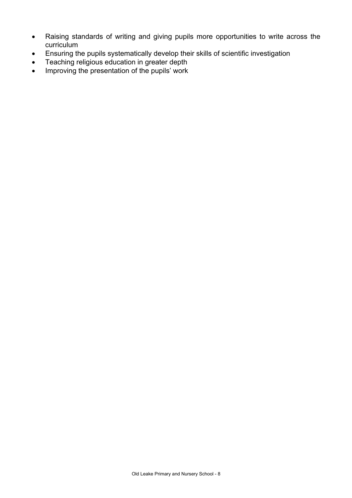- Raising standards of writing and giving pupils more opportunities to write across the curriculum
- Ensuring the pupils systematically develop their skills of scientific investigation
- Teaching religious education in greater depth
- Improving the presentation of the pupils' work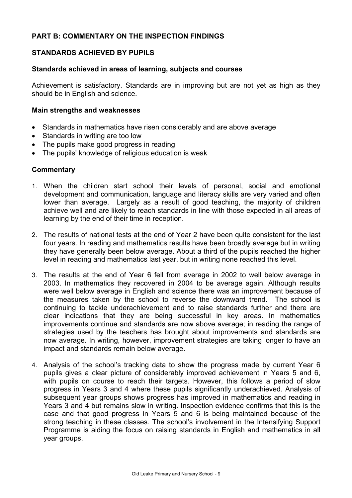## **PART B: COMMENTARY ON THE INSPECTION FINDINGS**

## **STANDARDS ACHIEVED BY PUPILS**

## **Standards achieved in areas of learning, subjects and courses**

Achievement is satisfactory. Standards are in improving but are not yet as high as they should be in English and science.

#### **Main strengths and weaknesses**

- Standards in mathematics have risen considerably and are above average
- Standards in writing are too low
- The pupils make good progress in reading
- The pupils' knowledge of religious education is weak

- 1. When the children start school their levels of personal, social and emotional development and communication, language and literacy skills are very varied and often lower than average. Largely as a result of good teaching, the majority of children achieve well and are likely to reach standards in line with those expected in all areas of learning by the end of their time in reception.
- 2. The results of national tests at the end of Year 2 have been quite consistent for the last four years. In reading and mathematics results have been broadly average but in writing they have generally been below average. About a third of the pupils reached the higher level in reading and mathematics last year, but in writing none reached this level.
- 3. The results at the end of Year 6 fell from average in 2002 to well below average in 2003. In mathematics they recovered in 2004 to be average again. Although results were well below average in English and science there was an improvement because of the measures taken by the school to reverse the downward trend. The school is continuing to tackle underachievement and to raise standards further and there are clear indications that they are being successful in key areas. In mathematics improvements continue and standards are now above average; in reading the range of strategies used by the teachers has brought about improvements and standards are now average. In writing, however, improvement strategies are taking longer to have an impact and standards remain below average.
- 4. Analysis of the school's tracking data to show the progress made by current Year 6 pupils gives a clear picture of considerably improved achievement in Years 5 and 6, with pupils on course to reach their targets. However, this follows a period of slow progress in Years 3 and 4 where these pupils significantly underachieved. Analysis of subsequent year groups shows progress has improved in mathematics and reading in Years 3 and 4 but remains slow in writing. Inspection evidence confirms that this is the case and that good progress in Years 5 and 6 is being maintained because of the strong teaching in these classes. The school's involvement in the Intensifying Support Programme is aiding the focus on raising standards in English and mathematics in all year groups.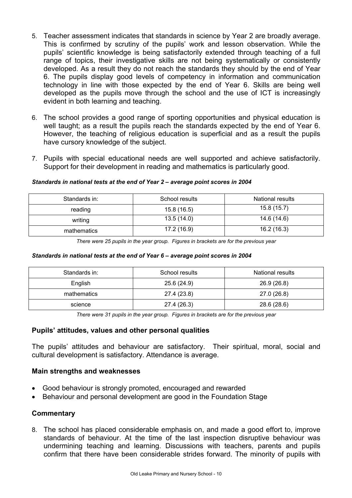- 5. Teacher assessment indicates that standards in science by Year 2 are broadly average. This is confirmed by scrutiny of the pupils' work and lesson observation. While the pupils' scientific knowledge is being satisfactorily extended through teaching of a full range of topics, their investigative skills are not being systematically or consistently developed. As a result they do not reach the standards they should by the end of Year 6. The pupils display good levels of competency in information and communication technology in line with those expected by the end of Year 6. Skills are being well developed as the pupils move through the school and the use of ICT is increasingly evident in both learning and teaching.
- 6. The school provides a good range of sporting opportunities and physical education is well taught; as a result the pupils reach the standards expected by the end of Year 6. However, the teaching of religious education is superficial and as a result the pupils have cursory knowledge of the subject.
- 7. Pupils with special educational needs are well supported and achieve satisfactorily. Support for their development in reading and mathematics is particularly good.

## *Standards in national tests at the end of Year 2 – average point scores in 2004*

| Standards in: | School results | National results |
|---------------|----------------|------------------|
| reading       | 15.8 (16.5)    | 15.8(15.7)       |
| writing       | 13.5(14.0)     | 14.6 (14.6)      |
| mathematics   | 17.2 (16.9)    | 16.2(16.3)       |

*There were 25 pupils in the year group. Figures in brackets are for the previous year* 

#### *Standards in national tests at the end of Year 6 – average point scores in 2004*

| Standards in: | School results | National results |
|---------------|----------------|------------------|
| English       | 25.6 (24.9)    | 26.9 (26.8)      |
| mathematics   | 27.4 (23.8)    | 27.0 (26.8)      |
| science       | 27.4 (26.3)    | 28.6 (28.6)      |

*There were 31 pupils in the year group. Figures in brackets are for the previous year* 

## **Pupils' attitudes, values and other personal qualities**

The pupils' attitudes and behaviour are satisfactory. Their spiritual, moral, social and cultural development is satisfactory. Attendance is average.

## **Main strengths and weaknesses**

- Good behaviour is strongly promoted, encouraged and rewarded
- Behaviour and personal development are good in the Foundation Stage

## **Commentary**

8. The school has placed considerable emphasis on, and made a good effort to, improve standards of behaviour. At the time of the last inspection disruptive behaviour was undermining teaching and learning. Discussions with teachers, parents and pupils confirm that there have been considerable strides forward. The minority of pupils with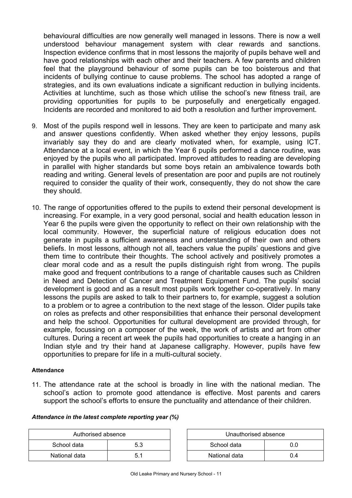behavioural difficulties are now generally well managed in lessons. There is now a well understood behaviour management system with clear rewards and sanctions. Inspection evidence confirms that in most lessons the majority of pupils behave well and have good relationships with each other and their teachers. A few parents and children feel that the playground behaviour of some pupils can be too boisterous and that incidents of bullying continue to cause problems. The school has adopted a range of strategies, and its own evaluations indicate a significant reduction in bullying incidents. Activities at lunchtime, such as those which utilise the school's new fitness trail, are providing opportunities for pupils to be purposefully and energetically engaged. Incidents are recorded and monitored to aid both a resolution and further improvement.

- 9. Most of the pupils respond well in lessons. They are keen to participate and many ask and answer questions confidently. When asked whether they enjoy lessons, pupils invariably say they do and are clearly motivated when, for example, using ICT. Attendance at a local event, in which the Year 6 pupils performed a dance routine, was enjoyed by the pupils who all participated. Improved attitudes to reading are developing in parallel with higher standards but some boys retain an ambivalence towards both reading and writing. General levels of presentation are poor and pupils are not routinely required to consider the quality of their work, consequently, they do not show the care they should.
- 10. The range of opportunities offered to the pupils to extend their personal development is increasing. For example, in a very good personal, social and health education lesson in Year 6 the pupils were given the opportunity to reflect on their own relationship with the local community. However, the superficial nature of religious education does not generate in pupils a sufficient awareness and understanding of their own and others beliefs. In most lessons, although not all, teachers value the pupils' questions and give them time to contribute their thoughts. The school actively and positively promotes a clear moral code and as a result the pupils distinguish right from wrong. The pupils make good and frequent contributions to a range of charitable causes such as Children in Need and Detection of Cancer and Treatment Equipment Fund. The pupils' social development is good and as a result most pupils work together co-operatively. In many lessons the pupils are asked to talk to their partners to, for example, suggest a solution to a problem or to agree a contribution to the next stage of the lesson. Older pupils take on roles as prefects and other responsibilities that enhance their personal development and help the school. Opportunities for cultural development are provided through, for example, focussing on a composer of the week, the work of artists and art from other cultures. During a recent art week the pupils had opportunities to create a hanging in an Indian style and try their hand at Japanese calligraphy. However, pupils have few opportunities to prepare for life in a multi-cultural society.

#### **Attendance**

11. The attendance rate at the school is broadly in line with the national median. The school's action to promote good attendance is effective. Most parents and carers support the school's efforts to ensure the punctuality and attendance of their children.

| Attendance in the latest complete reporting year (%) |  |  |  |  |
|------------------------------------------------------|--|--|--|--|
|                                                      |  |  |  |  |

| Authorised absence |     | Unauthorised absence |     |  |
|--------------------|-----|----------------------|-----|--|
| School data        | 5.3 | School data<br>0.0   |     |  |
| National data      | 5.1 | National data        | 0.4 |  |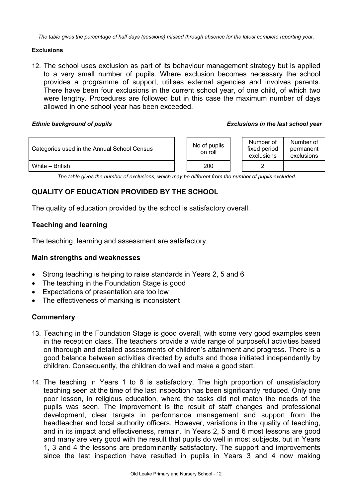*The table gives the percentage of half days (sessions) missed through absence for the latest complete reporting year.*

#### **Exclusions**

12. The school uses exclusion as part of its behaviour management strategy but is applied to a very small number of pupils. Where exclusion becomes necessary the school provides a programme of support, utilises external agencies and involves parents. There have been four exclusions in the current school year, of one child, of which two were lengthy. Procedures are followed but in this case the maximum number of days allowed in one school year has been exceeded.

#### *Ethnic background of pupils Exclusions in the last school year*

| Categories used in the Annual School Census |  | No of pupils<br>on roll | Number of<br>fixed period<br>exclusions | Number of<br>permanent<br>exclusions |
|---------------------------------------------|--|-------------------------|-----------------------------------------|--------------------------------------|
| White - British                             |  | 200                     |                                         |                                      |

*The table gives the number of exclusions, which may be different from the number of pupils excluded.*

# **QUALITY OF EDUCATION PROVIDED BY THE SCHOOL**

The quality of education provided by the school is satisfactory overall.

## **Teaching and learning**

The teaching, learning and assessment are satisfactory.

## **Main strengths and weaknesses**

- Strong teaching is helping to raise standards in Years 2, 5 and 6
- The teaching in the Foundation Stage is good
- Expectations of presentation are too low
- The effectiveness of marking is inconsistent

- 13. Teaching in the Foundation Stage is good overall, with some very good examples seen in the reception class. The teachers provide a wide range of purposeful activities based on thorough and detailed assessments of children's attainment and progress. There is a good balance between activities directed by adults and those initiated independently by children. Consequently, the children do well and make a good start.
- 14. The teaching in Years 1 to 6 is satisfactory. The high proportion of unsatisfactory teaching seen at the time of the last inspection has been significantly reduced. Only one poor lesson, in religious education, where the tasks did not match the needs of the pupils was seen. The improvement is the result of staff changes and professional development, clear targets in performance management and support from the headteacher and local authority officers. However, variations in the quality of teaching, and in its impact and effectiveness, remain. In Years 2, 5 and 6 most lessons are good and many are very good with the result that pupils do well in most subjects, but in Years 1, 3 and 4 the lessons are predominantly satisfactory. The support and improvements since the last inspection have resulted in pupils in Years 3 and 4 now making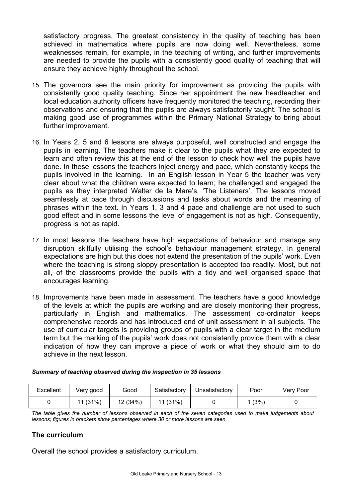satisfactory progress. The greatest consistency in the quality of teaching has been achieved in mathematics where pupils are now doing well. Nevertheless, some weaknesses remain, for example, in the teaching of writing, and further improvements are needed to provide the pupils with a consistently good quality of teaching that will ensure they achieve highly throughout the school.

- 15. The governors see the main priority for improvement as providing the pupils with consistently good quality teaching. Since her appointment the new headteacher and local education authority officers have frequently monitored the teaching, recording their observations and ensuring that the pupils are always satisfactorily taught. The school is making good use of programmes within the Primary National Strategy to bring about further improvement.
- 16. In Years 2, 5 and 6 lessons are always purposeful, well constructed and engage the pupils in learning. The teachers make it clear to the pupils what they are expected to learn and often review this at the end of the lesson to check how well the pupils have done. In these lessons the teachers inject energy and pace, which constantly keeps the pupils involved in the learning. In an English lesson in Year 5 the teacher was very clear about what the children were expected to learn; he challenged and engaged the pupils as they interpreted Walter de la Mare's, 'The Listeners'. The lessons moved seamlessly at pace through discussions and tasks about words and the meaning of phrases within the text. In Years 1, 3 and 4 pace and challenge are not used to such good effect and in some lessons the level of engagement is not as high. Consequently, progress is not as rapid.
- 17. In most lessons the teachers have high expectations of behaviour and manage any disruption skilfully utilising the school's behaviour management strategy. In general expectations are high but this does not extend the presentation of the pupils' work. Even where the teaching is strong sloppy presentation is accepted too readily. Most, but not all, of the classrooms provide the pupils with a tidy and well organised space that encourages learning.
- 18. Improvements have been made in assessment. The teachers have a good knowledge of the levels at which the pupils are working and are closely monitoring their progress, particularly in English and mathematics. The assessment co-ordinator keeps comprehensive records and has introduced end of unit assessment in all subjects. The use of curricular targets is providing groups of pupils with a clear target in the medium term but the marking of the pupils' work does not consistently provide them with a clear indication of how they can improve a piece of work or what they should aim to do achieve in the next lesson.

| Excellent | Very good | Good    | Satisfactory | Unsatisfactory | Poor | Very Poor |
|-----------|-----------|---------|--------------|----------------|------|-----------|
|           | 11 (31%)  | 12(34%) | 11(31%)      |                | (3%) |           |

#### *Summary of teaching observed during the inspection in 35 lessons*

*The table gives the number of lessons observed in each of the seven categories used to make judgements about lessons; figures in brackets show percentages where 30 or more lessons are seen.* 

## **The curriculum**

Overall the school provides a satisfactory curriculum.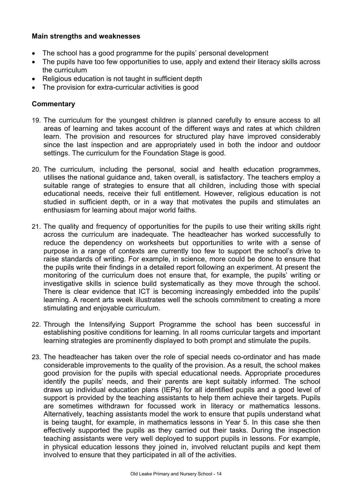## **Main strengths and weaknesses**

- The school has a good programme for the pupils' personal development
- The pupils have too few opportunities to use, apply and extend their literacy skills across the curriculum
- Religious education is not taught in sufficient depth
- The provision for extra-curricular activities is good

- 19. The curriculum for the youngest children is planned carefully to ensure access to all areas of learning and takes account of the different ways and rates at which children learn. The provision and resources for structured play have improved considerably since the last inspection and are appropriately used in both the indoor and outdoor settings. The curriculum for the Foundation Stage is good.
- 20. The curriculum, including the personal, social and health education programmes, utilises the national guidance and, taken overall, is satisfactory. The teachers employ a suitable range of strategies to ensure that all children, including those with special educational needs, receive their full entitlement. However, religious education is not studied in sufficient depth, or in a way that motivates the pupils and stimulates an enthusiasm for learning about major world faiths.
- 21. The quality and frequency of opportunities for the pupils to use their writing skills right across the curriculum are inadequate. The headteacher has worked successfully to reduce the dependency on worksheets but opportunities to write with a sense of purpose in a range of contexts are currently too few to support the school's drive to raise standards of writing. For example, in science, more could be done to ensure that the pupils write their findings in a detailed report following an experiment. At present the monitoring of the curriculum does not ensure that, for example, the pupils' writing or investigative skills in science build systematically as they move through the school. There is clear evidence that ICT is becoming increasingly embedded into the pupils' learning. A recent arts week illustrates well the schools commitment to creating a more stimulating and enjoyable curriculum.
- 22. Through the Intensifying Support Programme the school has been successful in establishing positive conditions for learning. In all rooms curricular targets and important learning strategies are prominently displayed to both prompt and stimulate the pupils.
- 23. The headteacher has taken over the role of special needs co-ordinator and has made considerable improvements to the quality of the provision. As a result, the school makes good provision for the pupils with special educational needs. Appropriate procedures identify the pupils' needs, and their parents are kept suitably informed. The school draws up individual education plans (IEPs) for all identified pupils and a good level of support is provided by the teaching assistants to help them achieve their targets. Pupils are sometimes withdrawn for focussed work in literacy or mathematics lessons. Alternatively, teaching assistants model the work to ensure that pupils understand what is being taught, for example, in mathematics lessons in Year 5. In this case she then effectively supported the pupils as they carried out their tasks. During the inspection teaching assistants were very well deployed to support pupils in lessons. For example, in physical education lessons they joined in, involved reluctant pupils and kept them involved to ensure that they participated in all of the activities.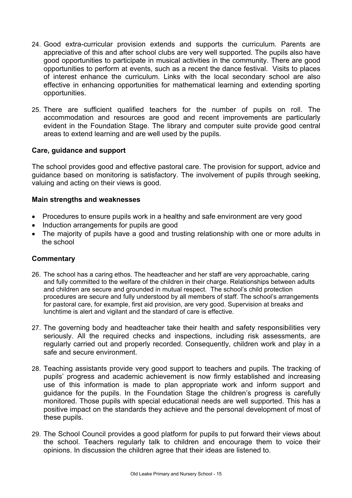- 24. Good extra-curricular provision extends and supports the curriculum. Parents are appreciative of this and after school clubs are very well supported. The pupils also have good opportunities to participate in musical activities in the community. There are good opportunities to perform at events, such as a recent the dance festival. Visits to places of interest enhance the curriculum. Links with the local secondary school are also effective in enhancing opportunities for mathematical learning and extending sporting opportunities.
- 25. There are sufficient qualified teachers for the number of pupils on roll. The accommodation and resources are good and recent improvements are particularly evident in the Foundation Stage. The library and computer suite provide good central areas to extend learning and are well used by the pupils.

## **Care, guidance and support**

The school provides good and effective pastoral care. The provision for support, advice and guidance based on monitoring is satisfactory. The involvement of pupils through seeking, valuing and acting on their views is good.

## **Main strengths and weaknesses**

- Procedures to ensure pupils work in a healthy and safe environment are very good
- Induction arrangements for pupils are good
- The majority of pupils have a good and trusting relationship with one or more adults in the school

- 26. The school has a caring ethos. The headteacher and her staff are very approachable, caring and fully committed to the welfare of the children in their charge. Relationships between adults and children are secure and grounded in mutual respect. The school's child protection procedures are secure and fully understood by all members of staff. The school's arrangements for pastoral care, for example, first aid provision, are very good. Supervision at breaks and lunchtime is alert and vigilant and the standard of care is effective.
- 27. The governing body and headteacher take their health and safety responsibilities very seriously. All the required checks and inspections, including risk assessments, are regularly carried out and properly recorded. Consequently, children work and play in a safe and secure environment.
- 28. Teaching assistants provide very good support to teachers and pupils. The tracking of pupils' progress and academic achievement is now firmly established and increasing use of this information is made to plan appropriate work and inform support and guidance for the pupils. In the Foundation Stage the children's progress is carefully monitored. Those pupils with special educational needs are well supported. This has a positive impact on the standards they achieve and the personal development of most of these pupils.
- 29. The School Council provides a good platform for pupils to put forward their views about the school. Teachers regularly talk to children and encourage them to voice their opinions. In discussion the children agree that their ideas are listened to.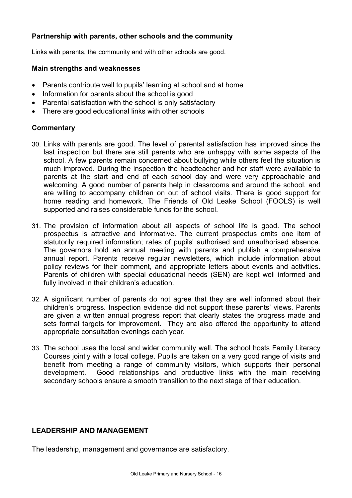## **Partnership with parents, other schools and the community**

Links with parents, the community and with other schools are good.

## **Main strengths and weaknesses**

- Parents contribute well to pupils' learning at school and at home
- Information for parents about the school is good
- Parental satisfaction with the school is only satisfactory
- There are good educational links with other schools

## **Commentary**

- 30. Links with parents are good. The level of parental satisfaction has improved since the last inspection but there are still parents who are unhappy with some aspects of the school. A few parents remain concerned about bullying while others feel the situation is much improved. During the inspection the headteacher and her staff were available to parents at the start and end of each school day and were very approachable and welcoming. A good number of parents help in classrooms and around the school, and are willing to accompany children on out of school visits. There is good support for home reading and homework. The Friends of Old Leake School (FOOLS) is well supported and raises considerable funds for the school.
- 31. The provision of information about all aspects of school life is good. The school prospectus is attractive and informative. The current prospectus omits one item of statutorily required information; rates of pupils' authorised and unauthorised absence. The governors hold an annual meeting with parents and publish a comprehensive annual report. Parents receive regular newsletters, which include information about policy reviews for their comment, and appropriate letters about events and activities. Parents of children with special educational needs (SEN) are kept well informed and fully involved in their children's education.
- 32. A significant number of parents do not agree that they are well informed about their children's progress. Inspection evidence did not support these parents' views. Parents are given a written annual progress report that clearly states the progress made and sets formal targets for improvement. They are also offered the opportunity to attend appropriate consultation evenings each year.
- 33. The school uses the local and wider community well. The school hosts Family Literacy Courses jointly with a local college. Pupils are taken on a very good range of visits and benefit from meeting a range of community visitors, which supports their personal development. Good relationships and productive links with the main receiving secondary schools ensure a smooth transition to the next stage of their education.

## **LEADERSHIP AND MANAGEMENT**

The leadership, management and governance are satisfactory.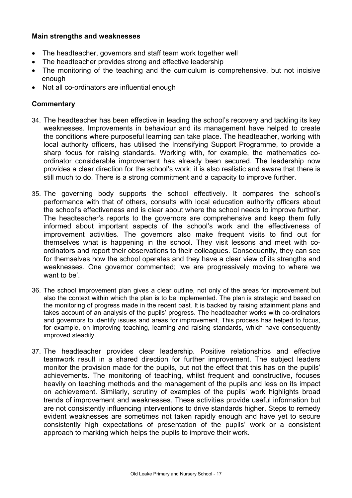## **Main strengths and weaknesses**

- The headteacher, governors and staff team work together well
- The headteacher provides strong and effective leadership
- The monitoring of the teaching and the curriculum is comprehensive, but not incisive enough
- Not all co-ordinators are influential enough

- 34. The headteacher has been effective in leading the school's recovery and tackling its key weaknesses. Improvements in behaviour and its management have helped to create the conditions where purposeful learning can take place. The headteacher, working with local authority officers, has utilised the Intensifying Support Programme, to provide a sharp focus for raising standards. Working with, for example, the mathematics coordinator considerable improvement has already been secured. The leadership now provides a clear direction for the school's work; it is also realistic and aware that there is still much to do. There is a strong commitment and a capacity to improve further.
- 35. The governing body supports the school effectively. It compares the school's performance with that of others, consults with local education authority officers about the school's effectiveness and is clear about where the school needs to improve further. The headteacher's reports to the governors are comprehensive and keep them fully informed about important aspects of the school's work and the effectiveness of improvement activities. The governors also make frequent visits to find out for themselves what is happening in the school. They visit lessons and meet with coordinators and report their observations to their colleagues. Consequently, they can see for themselves how the school operates and they have a clear view of its strengths and weaknesses. One governor commented; 'we are progressively moving to where we want to be'.
- 36. The school improvement plan gives a clear outline, not only of the areas for improvement but also the context within which the plan is to be implemented. The plan is strategic and based on the monitoring of progress made in the recent past. It is backed by raising attainment plans and takes account of an analysis of the pupils' progress. The headteacher works with co-ordinators and governors to identify issues and areas for improvement. This process has helped to focus, for example, on improving teaching, learning and raising standards, which have consequently improved steadily.
- 37. The headteacher provides clear leadership. Positive relationships and effective teamwork result in a shared direction for further improvement. The subject leaders monitor the provision made for the pupils, but not the effect that this has on the pupils' achievements. The monitoring of teaching, whilst frequent and constructive, focuses heavily on teaching methods and the management of the pupils and less on its impact on achievement. Similarly, scrutiny of examples of the pupils' work highlights broad trends of improvement and weaknesses. These activities provide useful information but are not consistently influencing interventions to drive standards higher. Steps to remedy evident weaknesses are sometimes not taken rapidly enough and have yet to secure consistently high expectations of presentation of the pupils' work or a consistent approach to marking which helps the pupils to improve their work.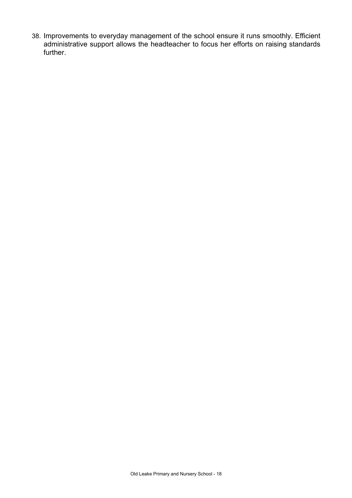38. Improvements to everyday management of the school ensure it runs smoothly. Efficient administrative support allows the headteacher to focus her efforts on raising standards further.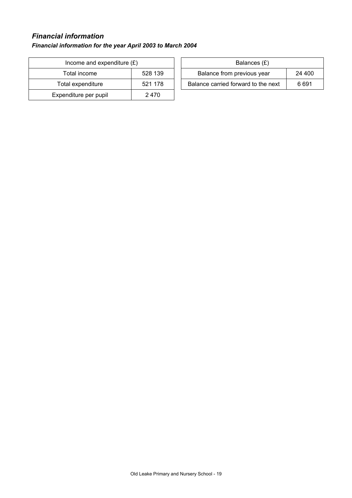# *Financial information*

## *Financial information for the year April 2003 to March 2004*

| Income and expenditure $(E)$ | Balances $(E)$ |                                  |
|------------------------------|----------------|----------------------------------|
| Total income                 | 528 139        | Balance from previous year       |
| Total expenditure            | 521 178        | Balance carried forward to the r |
| Expenditure per pupil        | 2470           |                                  |

| Income and expenditure $(E)$ |         | Balances (£)                         |       |
|------------------------------|---------|--------------------------------------|-------|
| Total income                 | 528 139 | Balance from previous year<br>24 400 |       |
| Total expenditure            | 521 178 | Balance carried forward to the next  | 6 691 |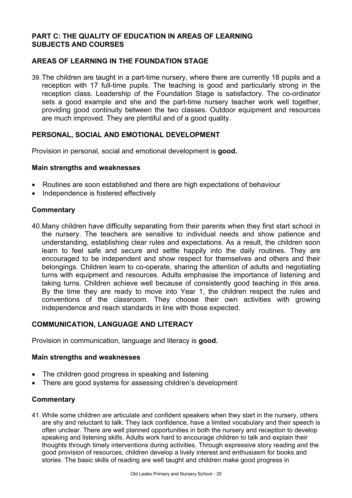## **PART C: THE QUALITY OF EDUCATION IN AREAS OF LEARNING SUBJECTS AND COURSES**

## **AREAS OF LEARNING IN THE FOUNDATION STAGE**

39. The children are taught in a part-time nursery, where there are currently 18 pupils and a reception with 17 full-time pupils. The teaching is good and particularly strong in the reception class. Leadership of the Foundation Stage is satisfactory. The co-ordinator sets a good example and she and the part-time nursery teacher work well together, providing good continuity between the two classes. Outdoor equipment and resources are much improved. They are plentiful and of a good quality.

## **PERSONAL, SOCIAL AND EMOTIONAL DEVELOPMENT**

Provision in personal, social and emotional development is **good.**

## **Main strengths and weaknesses**

- Routines are soon established and there are high expectations of behaviour
- Independence is fostered effectively

## **Commentary**

40. Many children have difficulty separating from their parents when they first start school in the nursery. The teachers are sensitive to individual needs and show patience and understanding, establishing clear rules and expectations. As a result, the children soon learn to feel safe and secure and settle happily into the daily routines. They are encouraged to be independent and show respect for themselves and others and their belongings. Children learn to co-operate, sharing the attention of adults and negotiating turns with equipment and resources. Adults emphasise the importance of listening and taking turns. Children achieve well because of consistently good teaching in this area. By the time they are ready to move into Year 1, the children respect the rules and conventions of the classroom. They choose their own activities with growing independence and reach standards in line with those expected.

## **COMMUNICATION, LANGUAGE AND LITERACY**

Provision in communication, language and literacy is **good.**

#### **Main strengths and weaknesses**

- The children good progress in speaking and listening
- There are good systems for assessing children's development

## **Commentary**

41. While some children are articulate and confident speakers when they start in the nursery, others are shy and reluctant to talk. They lack confidence, have a limited vocabulary and their speech is often unclear. There are well planned opportunities in both the nursery and reception to develop speaking and listening skills. Adults work hard to encourage children to talk and explain their thoughts through timely interventions during activities. Through expressive story reading and the good provision of resources, children develop a lively interest and enthusiasm for books and stories. The basic skills of reading are well taught and children make good progress in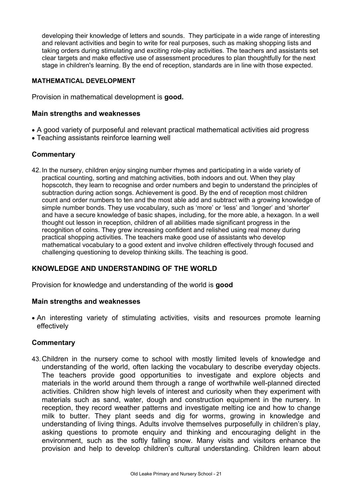developing their knowledge of letters and sounds. They participate in a wide range of interesting and relevant activities and begin to write for real purposes, such as making shopping lists and taking orders during stimulating and exciting role-play activities. The teachers and assistants set clear targets and make effective use of assessment procedures to plan thoughtfully for the next stage in children's learning. By the end of reception, standards are in line with those expected.

## **MATHEMATICAL DEVELOPMENT**

Provision in mathematical development is **good.**

## **Main strengths and weaknesses**

- A good variety of purposeful and relevant practical mathematical activities aid progress
- Teaching assistants reinforce learning well

## **Commentary**

42. In the nursery, children enjoy singing number rhymes and participating in a wide variety of practical counting, sorting and matching activities, both indoors and out. When they play hopscotch, they learn to recognise and order numbers and begin to understand the principles of subtraction during action songs. Achievement is good. By the end of reception most children count and order numbers to ten and the most able add and subtract with a growing knowledge of simple number bonds. They use vocabulary, such as 'more' or 'less' and 'longer' and 'shorter' and have a secure knowledge of basic shapes, including, for the more able, a hexagon. In a well thought out lesson in reception, children of all abilities made significant progress in the recognition of coins. They grew increasing confident and relished using real money during practical shopping activities. The teachers make good use of assistants who develop mathematical vocabulary to a good extent and involve children effectively through focused and challenging questioning to develop thinking skills. The teaching is good.

## **KNOWLEDGE AND UNDERSTANDING OF THE WORLD**

Provision for knowledge and understanding of the world is **good**

#### **Main strengths and weaknesses**

• An interesting variety of stimulating activities, visits and resources promote learning effectively

#### **Commentary**

43. Children in the nursery come to school with mostly limited levels of knowledge and understanding of the world, often lacking the vocabulary to describe everyday objects. The teachers provide good opportunities to investigate and explore objects and materials in the world around them through a range of worthwhile well-planned directed activities. Children show high levels of interest and curiosity when they experiment with materials such as sand, water, dough and construction equipment in the nursery. In reception, they record weather patterns and investigate melting ice and how to change milk to butter. They plant seeds and dig for worms, growing in knowledge and understanding of living things. Adults involve themselves purposefully in children's play, asking questions to promote enquiry and thinking and encouraging delight in the environment, such as the softly falling snow. Many visits and visitors enhance the provision and help to develop children's cultural understanding. Children learn about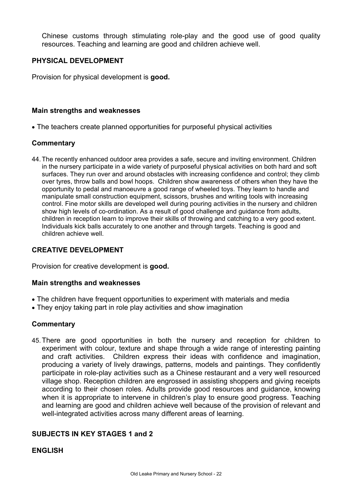Chinese customs through stimulating role-play and the good use of good quality resources. Teaching and learning are good and children achieve well.

## **PHYSICAL DEVELOPMENT**

Provision for physical development is **good.**

#### **Main strengths and weaknesses**

• The teachers create planned opportunities for purposeful physical activities

## **Commentary**

44. The recently enhanced outdoor area provides a safe, secure and inviting environment. Children in the nursery participate in a wide variety of purposeful physical activities on both hard and soft surfaces. They run over and around obstacles with increasing confidence and control; they climb over tyres, throw balls and bowl hoops. Children show awareness of others when they have the opportunity to pedal and manoeuvre a good range of wheeled toys. They learn to handle and manipulate small construction equipment, scissors, brushes and writing tools with increasing control. Fine motor skills are developed well during pouring activities in the nursery and children show high levels of co-ordination. As a result of good challenge and guidance from adults, children in reception learn to improve their skills of throwing and catching to a very good extent. Individuals kick balls accurately to one another and through targets. Teaching is good and children achieve well.

## **CREATIVE DEVELOPMENT**

Provision for creative development is **good.** 

#### **Main strengths and weaknesses**

- The children have frequent opportunities to experiment with materials and media
- They enjoy taking part in role play activities and show imagination

#### **Commentary**

45. There are good opportunities in both the nursery and reception for children to experiment with colour, texture and shape through a wide range of interesting painting and craft activities. Children express their ideas with confidence and imagination, producing a variety of lively drawings, patterns, models and paintings. They confidently participate in role-play activities such as a Chinese restaurant and a very well resourced village shop. Reception children are engrossed in assisting shoppers and giving receipts according to their chosen roles. Adults provide good resources and guidance, knowing when it is appropriate to intervene in children's play to ensure good progress. Teaching and learning are good and children achieve well because of the provision of relevant and well-integrated activities across many different areas of learning.

## **SUBJECTS IN KEY STAGES 1 and 2**

#### **ENGLISH**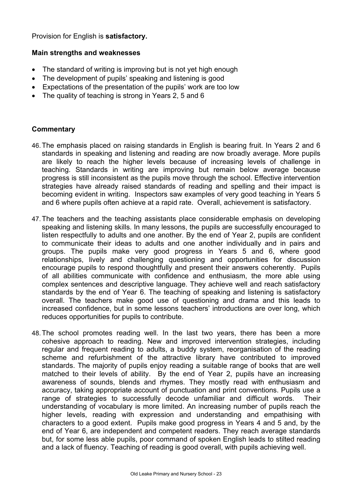Provision for English is **satisfactory.** 

## **Main strengths and weaknesses**

- The standard of writing is improving but is not yet high enough
- The development of pupils' speaking and listening is good
- Expectations of the presentation of the pupils' work are too low
- The quality of teaching is strong in Years 2, 5 and 6

- 46. The emphasis placed on raising standards in English is bearing fruit. In Years 2 and 6 standards in speaking and listening and reading are now broadly average. More pupils are likely to reach the higher levels because of increasing levels of challenge in teaching. Standards in writing are improving but remain below average because progress is still inconsistent as the pupils move through the school. Effective intervention strategies have already raised standards of reading and spelling and their impact is becoming evident in writing. Inspectors saw examples of very good teaching in Years 5 and 6 where pupils often achieve at a rapid rate. Overall, achievement is satisfactory.
- 47. The teachers and the teaching assistants place considerable emphasis on developing speaking and listening skills. In many lessons, the pupils are successfully encouraged to listen respectfully to adults and one another. By the end of Year 2, pupils are confident to communicate their ideas to adults and one another individually and in pairs and groups. The pupils make very good progress in Years 5 and 6, where good relationships, lively and challenging questioning and opportunities for discussion encourage pupils to respond thoughtfully and present their answers coherently. Pupils of all abilities communicate with confidence and enthusiasm, the more able using complex sentences and descriptive language. They achieve well and reach satisfactory standards by the end of Year 6. The teaching of speaking and listening is satisfactory overall. The teachers make good use of questioning and drama and this leads to increased confidence, but in some lessons teachers' introductions are over long, which reduces opportunities for pupils to contribute.
- 48. The school promotes reading well. In the last two years, there has been a more cohesive approach to reading. New and improved intervention strategies, including regular and frequent reading to adults, a buddy system, reorganisation of the reading scheme and refurbishment of the attractive library have contributed to improved standards. The majority of pupils enjoy reading a suitable range of books that are well matched to their levels of ability. By the end of Year 2, pupils have an increasing awareness of sounds, blends and rhymes. They mostly read with enthusiasm and accuracy, taking appropriate account of punctuation and print conventions. Pupils use a range of strategies to successfully decode unfamiliar and difficult words. Their understanding of vocabulary is more limited. An increasing number of pupils reach the higher levels, reading with expression and understanding and empathising with characters to a good extent. Pupils make good progress in Years 4 and 5 and, by the end of Year 6, are independent and competent readers. They reach average standards but, for some less able pupils, poor command of spoken English leads to stilted reading and a lack of fluency. Teaching of reading is good overall, with pupils achieving well.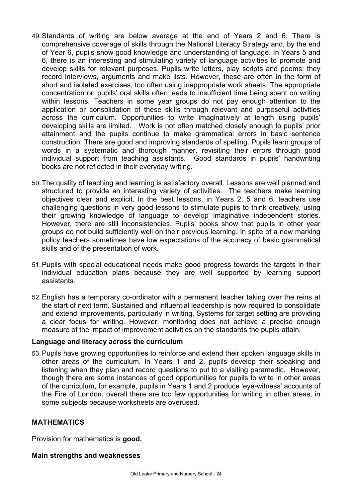- 49. Standards of writing are below average at the end of Years 2 and 6. There is comprehensive coverage of skills through the National Literacy Strategy and, by the end of Year 6, pupils show good knowledge and understanding of language. In Years 5 and 6, there is an interesting and stimulating variety of language activities to promote and develop skills for relevant purposes. Pupils write letters, play scripts and poems; they record interviews, arguments and make lists. However, these are often in the form of short and isolated exercises, too often using inappropriate work sheets. The appropriate concentration on pupils' oral skills often leads to insufficient time being spent on writing within lessons. Teachers in some year groups do not pay enough attention to the application or consolidation of these skills through relevant and purposeful activities across the curriculum. Opportunities to write imaginatively at length using pupils' developing skills are limited. Work is not often matched closely enough to pupils' prior attainment and the pupils continue to make grammatical errors in basic sentence construction. There are good and improving standards of spelling. Pupils learn groups of words in a systematic and thorough manner, revisiting their errors through good individual support from teaching assistants. Good standards in pupils' handwriting books are not reflected in their everyday writing.
- 50. The quality of teaching and learning is satisfactory overall. Lessons are well planned and structured to provide an interesting variety of activities. The teachers make learning objectives clear and explicit. In the best lessons, in Years 2, 5 and 6, teachers use challenging questions in very good lessons to stimulate pupils to think creatively, using their growing knowledge of language to develop imaginative independent stories. However, there are still inconsistencies. Pupils' books show that pupils in other year groups do not build sufficiently well on their previous learning. In spite of a new marking policy teachers sometimes have low expectations of the accuracy of basic grammatical skills and of the presentation of work.
- 51. Pupils with special educational needs make good progress towards the targets in their individual education plans because they are well supported by learning support assistants.
- 52. English has a temporary co-ordinator with a permanent teacher taking over the reins at the start of next term. Sustained and influential leadership is now required to consolidate and extend improvements, particularly in writing. Systems for target setting are providing a clear focus for writing. However, monitoring does not achieve a precise enough measure of the impact of improvement activities on the standards the pupils attain.

#### **Language and literacy across the curriculum**

53. Pupils have growing opportunities to reinforce and extend their spoken language skills in other areas of the curriculum. In Years 1 and 2, pupils develop their speaking and listening when they plan and record questions to put to a visiting paramedic. However, though there are some instances of good opportunities for pupils to write in other areas of the curriculum, for example, pupils in Years 1 and 2 produce 'eye-witness' accounts of the Fire of London, overall there are too few opportunities for writing in other areas, in some subjects because worksheets are overused.

## **MATHEMATICS**

Provision for mathematics is **good.**

#### **Main strengths and weaknesses**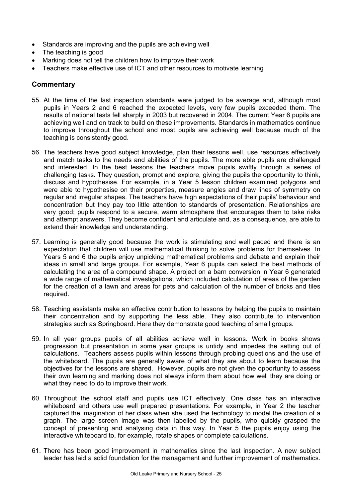- Standards are improving and the pupils are achieving well
- The teaching is good
- Marking does not tell the children how to improve their work
- Teachers make effective use of ICT and other resources to motivate learning

- 55. At the time of the last inspection standards were judged to be average and, although most pupils in Years 2 and 6 reached the expected levels, very few pupils exceeded them. The results of national tests fell sharply in 2003 but recovered in 2004. The current Year 6 pupils are achieving well and on track to build on these improvements. Standards in mathematics continue to improve throughout the school and most pupils are achieving well because much of the teaching is consistently good.
- 56. The teachers have good subject knowledge, plan their lessons well, use resources effectively and match tasks to the needs and abilities of the pupils. The more able pupils are challenged and interested. In the best lessons the teachers move pupils swiftly through a series of challenging tasks. They question, prompt and explore, giving the pupils the opportunity to think, discuss and hypothesise. For example, in a Year 5 lesson children examined polygons and were able to hypothesise on their properties, measure angles and draw lines of symmetry on regular and irregular shapes. The teachers have high expectations of their pupils' behaviour and concentration but they pay too little attention to standards of presentation. Relationships are very good; pupils respond to a secure, warm atmosphere that encourages them to take risks and attempt answers. They become confident and articulate and, as a consequence, are able to extend their knowledge and understanding.
- 57. Learning is generally good because the work is stimulating and well paced and there is an expectation that children will use mathematical thinking to solve problems for themselves. In Years 5 and 6 the pupils enjoy unpicking mathematical problems and debate and explain their ideas in small and large groups. For example, Year 6 pupils can select the best methods of calculating the area of a compound shape. A project on a barn conversion in Year 6 generated a wide range of mathematical investigations, which included calculation of areas of the garden for the creation of a lawn and areas for pets and calculation of the number of bricks and tiles required.
- 58. Teaching assistants make an effective contribution to lessons by helping the pupils to maintain their concentration and by supporting the less able. They also contribute to intervention strategies such as Springboard. Here they demonstrate good teaching of small groups.
- 59. In all year groups pupils of all abilities achieve well in lessons. Work in books shows progression but presentation in some year groups is untidy and impedes the setting out of calculations. Teachers assess pupils within lessons through probing questions and the use of the whiteboard. The pupils are generally aware of what they are about to learn because the objectives for the lessons are shared. However, pupils are not given the opportunity to assess their own learning and marking does not always inform them about how well they are doing or what they need to do to improve their work.
- 60. Throughout the school staff and pupils use ICT effectively. One class has an interactive whiteboard and others use well prepared presentations. For example, in Year 2 the teacher captured the imagination of her class when she used the technology to model the creation of a graph. The large screen image was then labelled by the pupils, who quickly grasped the concept of presenting and analysing data in this way. In Year 5 the pupils enjoy using the interactive whiteboard to, for example, rotate shapes or complete calculations.
- 61. There has been good improvement in mathematics since the last inspection. A new subject leader has laid a solid foundation for the management and further improvement of mathematics.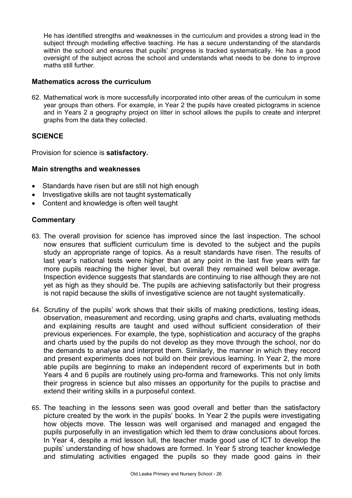He has identified strengths and weaknesses in the curriculum and provides a strong lead in the subject through modelling effective teaching. He has a secure understanding of the standards within the school and ensures that pupils' progress is tracked systematically. He has a good oversight of the subject across the school and understands what needs to be done to improve maths still further.

## **Mathematics across the curriculum**

62. Mathematical work is more successfully incorporated into other areas of the curriculum in some year groups than others. For example, in Year 2 the pupils have created pictograms in science and in Years 2 a geography project on litter in school allows the pupils to create and interpret graphs from the data they collected.

## **SCIENCE**

Provision for science is **satisfactory.** 

## **Main strengths and weaknesses**

- Standards have risen but are still not high enough
- Investigative skills are not taught systematically
- Content and knowledge is often well taught

- 63. The overall provision for science has improved since the last inspection. The school now ensures that sufficient curriculum time is devoted to the subject and the pupils study an appropriate range of topics. As a result standards have risen. The results of last year's national tests were higher than at any point in the last five years with far more pupils reaching the higher level, but overall they remained well below average. Inspection evidence suggests that standards are continuing to rise although they are not yet as high as they should be. The pupils are achieving satisfactorily but their progress is not rapid because the skills of investigative science are not taught systematically.
- 64. Scrutiny of the pupils' work shows that their skills of making predictions, testing ideas, observation, measurement and recording, using graphs and charts, evaluating methods and explaining results are taught and used without sufficient consideration of their previous experiences. For example, the type, sophistication and accuracy of the graphs and charts used by the pupils do not develop as they move through the school, nor do the demands to analyse and interpret them. Similarly, the manner in which they record and present experiments does not build on their previous learning. In Year 2, the more able pupils are beginning to make an independent record of experiments but in both Years 4 and 6 pupils are routinely using pro-forma and frameworks. This not only limits their progress in science but also misses an opportunity for the pupils to practise and extend their writing skills in a purposeful context.
- 65. The teaching in the lessons seen was good overall and better than the satisfactory picture created by the work in the pupils' books. In Year 2 the pupils were investigating how objects move. The lesson was well organised and managed and engaged the pupils purposefully in an investigation which led them to draw conclusions about forces. In Year 4, despite a mid lesson lull, the teacher made good use of ICT to develop the pupils' understanding of how shadows are formed. In Year 5 strong teacher knowledge and stimulating activities engaged the pupils so they made good gains in their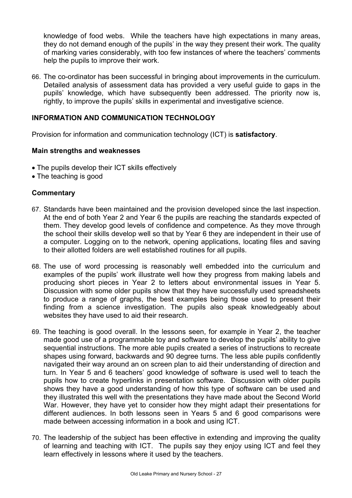knowledge of food webs. While the teachers have high expectations in many areas, they do not demand enough of the pupils' in the way they present their work. The quality of marking varies considerably, with too few instances of where the teachers' comments help the pupils to improve their work.

66. The co-ordinator has been successful in bringing about improvements in the curriculum. Detailed analysis of assessment data has provided a very useful guide to gaps in the pupils' knowledge, which have subsequently been addressed. The priority now is, rightly, to improve the pupils' skills in experimental and investigative science.

## **INFORMATION AND COMMUNICATION TECHNOLOGY**

Provision for information and communication technology (ICT) is **satisfactory**.

## **Main strengths and weaknesses**

- The pupils develop their ICT skills effectively
- The teaching is good

- 67. Standards have been maintained and the provision developed since the last inspection. At the end of both Year 2 and Year 6 the pupils are reaching the standards expected of them. They develop good levels of confidence and competence. As they move through the school their skills develop well so that by Year 6 they are independent in their use of a computer. Logging on to the network, opening applications, locating files and saving to their allotted folders are well established routines for all pupils.
- 68. The use of word processing is reasonably well embedded into the curriculum and examples of the pupils' work illustrate well how they progress from making labels and producing short pieces in Year 2 to letters about environmental issues in Year 5. Discussion with some older pupils show that they have successfully used spreadsheets to produce a range of graphs, the best examples being those used to present their finding from a science investigation. The pupils also speak knowledgeably about websites they have used to aid their research.
- 69. The teaching is good overall. In the lessons seen, for example in Year 2, the teacher made good use of a programmable toy and software to develop the pupils' ability to give sequential instructions. The more able pupils created a series of instructions to recreate shapes using forward, backwards and 90 degree turns. The less able pupils confidently navigated their way around an on screen plan to aid their understanding of direction and turn. In Year 5 and 6 teachers' good knowledge of software is used well to teach the pupils how to create hyperlinks in presentation software. Discussion with older pupils shows they have a good understanding of how this type of software can be used and they illustrated this well with the presentations they have made about the Second World War. However, they have yet to consider how they might adapt their presentations for different audiences. In both lessons seen in Years 5 and 6 good comparisons were made between accessing information in a book and using ICT.
- 70. The leadership of the subject has been effective in extending and improving the quality of learning and teaching with ICT. The pupils say they enjoy using ICT and feel they learn effectively in lessons where it used by the teachers.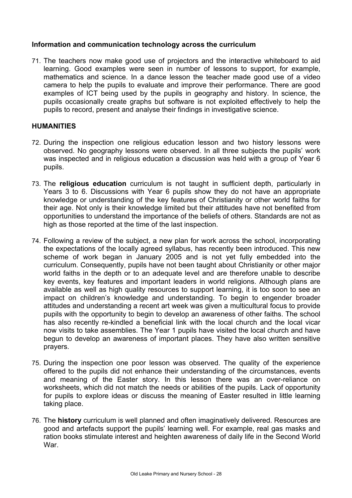## **Information and communication technology across the curriculum**

71. The teachers now make good use of projectors and the interactive whiteboard to aid learning. Good examples were seen in number of lessons to support, for example, mathematics and science. In a dance lesson the teacher made good use of a video camera to help the pupils to evaluate and improve their performance. There are good examples of ICT being used by the pupils in geography and history. In science, the pupils occasionally create graphs but software is not exploited effectively to help the pupils to record, present and analyse their findings in investigative science.

## **HUMANITIES**

- 72. During the inspection one religious education lesson and two history lessons were observed. No geography lessons were observed. In all three subjects the pupils' work was inspected and in religious education a discussion was held with a group of Year 6 pupils.
- 73. The **religious education** curriculum is not taught in sufficient depth, particularly in Years 3 to 6. Discussions with Year 6 pupils show they do not have an appropriate knowledge or understanding of the key features of Christianity or other world faiths for their age. Not only is their knowledge limited but their attitudes have not benefited from opportunities to understand the importance of the beliefs of others. Standards are not as high as those reported at the time of the last inspection.
- 74. Following a review of the subject, a new plan for work across the school, incorporating the expectations of the locally agreed syllabus, has recently been introduced. This new scheme of work began in January 2005 and is not yet fully embedded into the curriculum. Consequently, pupils have not been taught about Christianity or other major world faiths in the depth or to an adequate level and are therefore unable to describe key events, key features and important leaders in world religions. Although plans are available as well as high quality resources to support learning, it is too soon to see an impact on children's knowledge and understanding. To begin to engender broader attitudes and understanding a recent art week was given a multicultural focus to provide pupils with the opportunity to begin to develop an awareness of other faiths. The school has also recently re-kindled a beneficial link with the local church and the local vicar now visits to take assemblies. The Year 1 pupils have visited the local church and have begun to develop an awareness of important places. They have also written sensitive prayers.
- 75. During the inspection one poor lesson was observed. The quality of the experience offered to the pupils did not enhance their understanding of the circumstances, events and meaning of the Easter story. In this lesson there was an over-reliance on worksheets, which did not match the needs or abilities of the pupils. Lack of opportunity for pupils to explore ideas or discuss the meaning of Easter resulted in little learning taking place.
- 76. The **history** curriculum is well planned and often imaginatively delivered. Resources are good and artefacts support the pupils' learning well. For example, real gas masks and ration books stimulate interest and heighten awareness of daily life in the Second World War.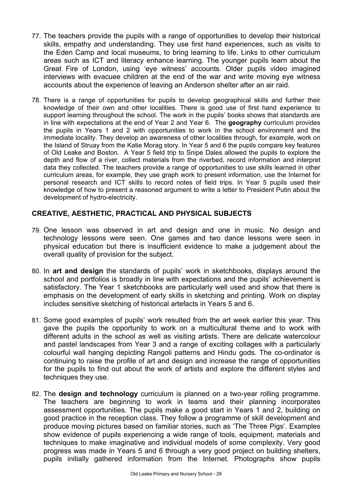- 77. The teachers provide the pupils with a range of opportunities to develop their historical skills, empathy and understanding. They use first hand experiences, such as visits to the Eden Camp and local museums, to bring learning to life. Links to other curriculum areas such as ICT and literacy enhance learning. The younger pupils learn about the Great Fire of London, using 'eye witness' accounts. Older pupils video imagined interviews with evacuee children at the end of the war and write moving eye witness accounts about the experience of leaving an Anderson shelter after an air raid.
- 78. There is a range of opportunities for pupils to develop geographical skills and further their knowledge of their own and other localities. There is good use of first hand experience to support learning throughout the school. The work in the pupils' books shows that standards are in line with expectations at the end of Year 2 and Year 6. The **geography** curriculum provides the pupils in Years 1 and 2 with opportunities to work in the school environment and the immediate locality. They develop an awareness of other localities through, for example, work on the Island of Struay from the Katie Morag story. In Year 5 and 6 the pupils compare key features of Old Leake and Boston. A Year 5 field trip to Snipe Dales allowed the pupils to explore the depth and flow of a river, collect materials from the riverbed, record information and interpret data they collected. The teachers provide a range of opportunities to use skills learned in other curriculum areas, for example, they use graph work to present information, use the Internet for personal research and ICT skills to record notes of field trips. In Year 5 pupils used their knowledge of how to present a reasoned argument to write a letter to President Putin about the development of hydro-electricity.

## **CREATIVE, AESTHETIC, PRACTICAL AND PHYSICAL SUBJECTS**

- 79. One lesson was observed in art and design and one in music. No design and technology lessons were seen. One games and two dance lessons were seen in physical education but there is insufficient evidence to make a judgement about the overall quality of provision for the subject.
- 80. In **art and design** the standards of pupils' work in sketchbooks, displays around the school and portfolios is broadly in line with expectations and the pupils' achievement is satisfactory. The Year 1 sketchbooks are particularly well used and show that there is emphasis on the development of early skills in sketching and printing. Work on display includes sensitive sketching of historical artefacts in Years 5 and 6.
- 81. Some good examples of pupils' work resulted from the art week earlier this year. This gave the pupils the opportunity to work on a multicultural theme and to work with different adults in the school as well as visiting artists. There are delicate watercolour and pastel landscapes from Year 3 and a range of exciting collages with a particularly colourful wall hanging depicting Rangoli patterns and Hindu gods. The co-ordinator is continuing to raise the profile of art and design and increase the range of opportunities for the pupils to find out about the work of artists and explore the different styles and techniques they use.
- 82. The **design and technology** curriculum is planned on a two-year rolling programme. The teachers are beginning to work in teams and their planning incorporates assessment opportunities. The pupils make a good start in Years 1 and 2, building on good practice in the reception class. They follow a programme of skill development and produce moving pictures based on familiar stories, such as 'The Three Pigs'. Examples show evidence of pupils experiencing a wide range of tools, equipment, materials and techniques to make imaginative and individual models of some complexity. Very good progress was made in Years 5 and 6 through a very good project on building shelters, pupils initially gathered information from the Internet. Photographs show pupils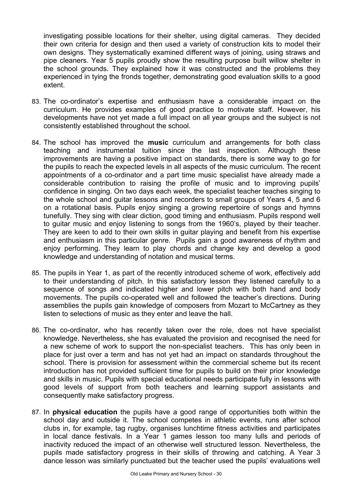investigating possible locations for their shelter, using digital cameras. They decided their own criteria for design and then used a variety of construction kits to model their own designs. They systematically examined different ways of joining, using straws and pipe cleaners. Year 5 pupils proudly show the resulting purpose built willow shelter in the school grounds. They explained how it was constructed and the problems they experienced in tying the fronds together, demonstrating good evaluation skills to a good extent.

- 83. The co-ordinator's expertise and enthusiasm have a considerable impact on the curriculum. He provides examples of good practice to motivate staff. However, his developments have not yet made a full impact on all year groups and the subject is not consistently established throughout the school.
- 84. The school has improved the **music** curriculum and arrangements for both class teaching and instrumental tuition since the last inspection. Although these improvements are having a positive impact on standards, there is some way to go for the pupils to reach the expected levels in all aspects of the music curriculum. The recent appointments of a co-ordinator and a part time music specialist have already made a considerable contribution to raising the profile of music and to improving pupils' confidence in singing. On two days each week, the specialist teacher teaches singing to the whole school and guitar lessons and recorders to small groups of Years 4, 5 and 6 on a rotational basis. Pupils enjoy singing a growing repertoire of songs and hymns tunefully. They sing with clear diction, good timing and enthusiasm. Pupils respond well to guitar music and enjoy listening to songs from the 1960's, played by their teacher. They are keen to add to their own skills in guitar playing and benefit from his expertise and enthusiasm in this particular genre. Pupils gain a good awareness of rhythm and enjoy performing. They learn to play chords and change key and develop a good knowledge and understanding of notation and musical terms.
- 85. The pupils in Year 1, as part of the recently introduced scheme of work, effectively add to their understanding of pitch. In this satisfactory lesson they listened carefully to a sequence of songs and indicated higher and lower pitch with both hand and body movements. The pupils co-operated well and followed the teacher's directions. During assemblies the pupils gain knowledge of composers from Mozart to McCartney as they listen to selections of music as they enter and leave the hall.
- 86. The co-ordinator, who has recently taken over the role, does not have specialist knowledge. Nevertheless, she has evaluated the provision and recognised the need for a new scheme of work to support the non-specialist teachers. This has only been in place for just over a term and has not yet had an impact on standards throughout the school. There is provision for assessment within the commercial scheme but its recent introduction has not provided sufficient time for pupils to build on their prior knowledge and skills in music. Pupils with special educational needs participate fully in lessons with good levels of support from both teachers and learning support assistants and consequently make satisfactory progress.
- 87. In **physical education** the pupils have a good range of opportunities both within the school day and outside it. The school competes in athletic events, runs after school clubs in, for example, tag rugby, organises lunchtime fitness activities and participates in local dance festivals. In a Year 1 games lesson too many lulls and periods of inactivity reduced the impact of an otherwise well structured lesson. Nevertheless, the pupils made satisfactory progress in their skills of throwing and catching. A Year 3 dance lesson was similarly punctuated but the teacher used the pupils' evaluations well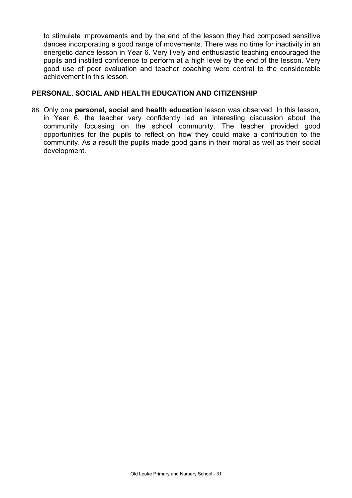to stimulate improvements and by the end of the lesson they had composed sensitive dances incorporating a good range of movements. There was no time for inactivity in an energetic dance lesson in Year 6. Very lively and enthusiastic teaching encouraged the pupils and instilled confidence to perform at a high level by the end of the lesson. Very good use of peer evaluation and teacher coaching were central to the considerable achievement in this lesson.

## **PERSONAL, SOCIAL AND HEALTH EDUCATION AND CITIZENSHIP**

88. Only one **personal, social and health education** lesson was observed. In this lesson, in Year 6, the teacher very confidently led an interesting discussion about the community focussing on the school community. The teacher provided good opportunities for the pupils to reflect on how they could make a contribution to the community. As a result the pupils made good gains in their moral as well as their social development.